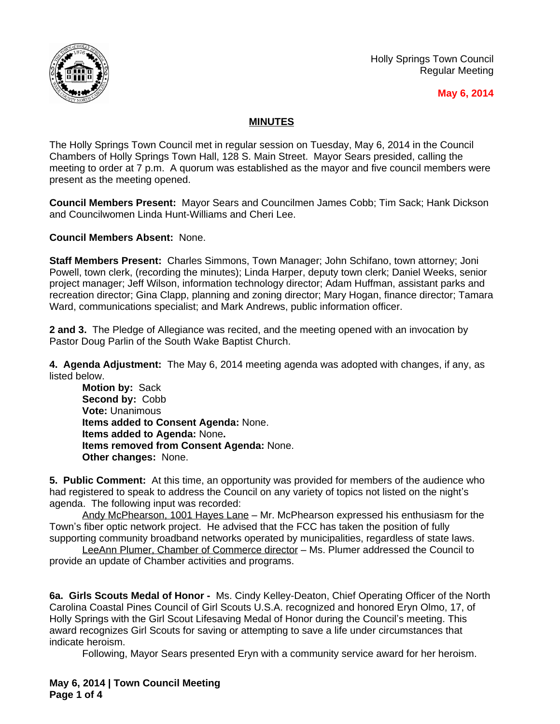

Holly Springs Town Council Regular Meeting

## **May 6, 2014**

## **MINUTES**

The Holly Springs Town Council met in regular session on Tuesday, May 6, 2014 in the Council Chambers of Holly Springs Town Hall, 128 S. Main Street. Mayor Sears presided, calling the meeting to order at 7 p.m. A quorum was established as the mayor and five council members were present as the meeting opened.

**Council Members Present:** Mayor Sears and Councilmen James Cobb; Tim Sack; Hank Dickson and Councilwomen Linda Hunt-Williams and Cheri Lee.

**Council Members Absent:** None.

**Staff Members Present:** Charles Simmons, Town Manager; John Schifano, town attorney; Joni Powell, town clerk, (recording the minutes); Linda Harper, deputy town clerk; Daniel Weeks, senior project manager; Jeff Wilson, information technology director; Adam Huffman, assistant parks and recreation director; Gina Clapp, planning and zoning director; Mary Hogan, finance director; Tamara Ward, communications specialist; and Mark Andrews, public information officer.

**2 and 3.** The Pledge of Allegiance was recited, and the meeting opened with an invocation by Pastor Doug Parlin of the South Wake Baptist Church.

**4. Agenda Adjustment:** The May 6, 2014 meeting agenda was adopted with changes, if any, as listed below.

**Motion by:** Sack **Second by:** Cobb **Vote:** Unanimous **Items added to Consent Agenda:** None. **Items added to Agenda:** None**. Items removed from Consent Agenda:** None. **Other changes:** None.

**5. Public Comment:** At this time, an opportunity was provided for members of the audience who had registered to speak to address the Council on any variety of topics not listed on the night's agenda. The following input was recorded:

Andy McPhearson, 1001 Hayes Lane – Mr. McPhearson expressed his enthusiasm for the Town's fiber optic network project. He advised that the FCC has taken the position of fully supporting community broadband networks operated by municipalities, regardless of state laws.

LeeAnn Plumer, Chamber of Commerce director – Ms. Plumer addressed the Council to provide an update of Chamber activities and programs.

**6a. Girls Scouts Medal of Honor -** Ms. Cindy Kelley-Deaton, Chief Operating Officer of the North Carolina Coastal Pines Council of Girl Scouts U.S.A. recognized and honored Eryn Olmo, 17, of Holly Springs with the Girl Scout Lifesaving Medal of Honor during the Council's meeting. This award recognizes Girl Scouts for saving or attempting to save a life under circumstances that indicate heroism.

Following, Mayor Sears presented Eryn with a community service award for her heroism.

**May 6, 2014 | Town Council Meeting Page 1 of 4**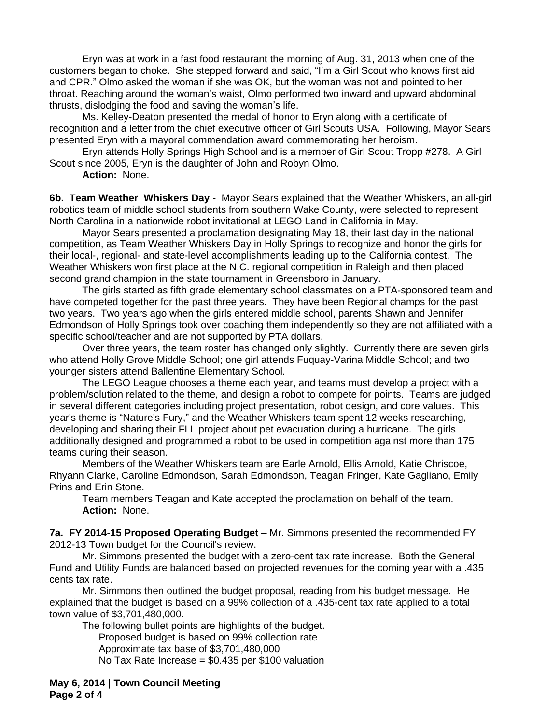Eryn was at work in a fast food restaurant the morning of Aug. 31, 2013 when one of the customers began to choke. She stepped forward and said, "I'm a Girl Scout who knows first aid and CPR." Olmo asked the woman if she was OK, but the woman was not and pointed to her throat. Reaching around the woman's waist, Olmo performed two inward and upward abdominal thrusts, dislodging the food and saving the woman's life.

Ms. Kelley-Deaton presented the medal of honor to Eryn along with a certificate of recognition and a letter from the chief executive officer of Girl Scouts USA. Following, Mayor Sears presented Eryn with a mayoral commendation award commemorating her heroism.

Eryn attends Holly Springs High School and is a member of Girl Scout Tropp #278. A Girl Scout since 2005, Eryn is the daughter of John and Robyn Olmo.

**Action:** None.

**6b. Team Weather Whiskers Day -** Mayor Sears explained that the Weather Whiskers, an all-girl robotics team of middle school students from southern Wake County, were selected to represent North Carolina in a nationwide robot invitational at LEGO Land in California in May.

Mayor Sears presented a proclamation designating May 18, their last day in the national competition, as Team Weather Whiskers Day in Holly Springs to recognize and honor the girls for their local-, regional- and state-level accomplishments leading up to the California contest. The Weather Whiskers won first place at the N.C. regional competition in Raleigh and then placed second grand champion in the state tournament in Greensboro in January.

The girls started as fifth grade elementary school classmates on a PTA-sponsored team and have competed together for the past three years. They have been Regional champs for the past two years. Two years ago when the girls entered middle school, parents Shawn and Jennifer Edmondson of Holly Springs took over coaching them independently so they are not affiliated with a specific school/teacher and are not supported by PTA dollars.

Over three years, the team roster has changed only slightly. Currently there are seven girls who attend Holly Grove Middle School; one girl attends Fuquay-Varina Middle School; and two younger sisters attend Ballentine Elementary School.

The LEGO League chooses a theme each year, and teams must develop a project with a problem/solution related to the theme, and design a robot to compete for points. Teams are judged in several different categories including project presentation, robot design, and core values. This year's theme is "Nature's Fury," and the Weather Whiskers team spent 12 weeks researching, developing and sharing their FLL project about pet evacuation during a hurricane. The girls additionally designed and programmed a robot to be used in competition against more than 175 teams during their season.

Members of the Weather Whiskers team are Earle Arnold, Ellis Arnold, Katie Chriscoe, Rhyann Clarke, Caroline Edmondson, Sarah Edmondson, Teagan Fringer, Kate Gagliano, Emily Prins and Erin Stone.

Team members Teagan and Kate accepted the proclamation on behalf of the team. **Action:** None.

**7a. FY 2014-15 Proposed Operating Budget –** Mr. Simmons presented the recommended FY 2012-13 Town budget for the Council's review.

Mr. Simmons presented the budget with a zero-cent tax rate increase. Both the General Fund and Utility Funds are balanced based on projected revenues for the coming year with a .435 cents tax rate.

Mr. Simmons then outlined the budget proposal, reading from his budget message. He explained that the budget is based on a 99% collection of a .435-cent tax rate applied to a total town value of \$3,701,480,000.

The following bullet points are highlights of the budget.

Proposed budget is based on 99% collection rate Approximate tax base of \$3,701,480,000 No Tax Rate Increase = \$0.435 per \$100 valuation

**May 6, 2014 | Town Council Meeting Page 2 of 4**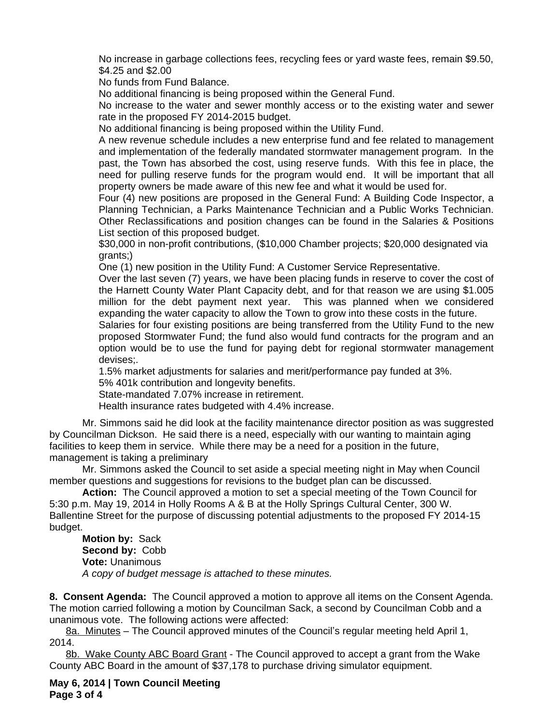No increase in garbage collections fees, recycling fees or yard waste fees, remain \$9.50, \$4.25 and \$2.00

No funds from Fund Balance.

No additional financing is being proposed within the General Fund.

No increase to the water and sewer monthly access or to the existing water and sewer rate in the proposed FY 2014-2015 budget.

No additional financing is being proposed within the Utility Fund.

A new revenue schedule includes a new enterprise fund and fee related to management and implementation of the federally mandated stormwater management program. In the past, the Town has absorbed the cost, using reserve funds. With this fee in place, the need for pulling reserve funds for the program would end. It will be important that all property owners be made aware of this new fee and what it would be used for.

Four (4) new positions are proposed in the General Fund: A Building Code Inspector, a Planning Technician, a Parks Maintenance Technician and a Public Works Technician. Other Reclassifications and position changes can be found in the Salaries & Positions List section of this proposed budget.

\$30,000 in non-profit contributions, (\$10,000 Chamber projects; \$20,000 designated via grants;)

One (1) new position in the Utility Fund: A Customer Service Representative.

Over the last seven (7) years, we have been placing funds in reserve to cover the cost of the Harnett County Water Plant Capacity debt, and for that reason we are using \$1.005 million for the debt payment next year. This was planned when we considered expanding the water capacity to allow the Town to grow into these costs in the future.

Salaries for four existing positions are being transferred from the Utility Fund to the new proposed Stormwater Fund; the fund also would fund contracts for the program and an option would be to use the fund for paying debt for regional stormwater management devises;.

1.5% market adjustments for salaries and merit/performance pay funded at 3%.

5% 401k contribution and longevity benefits.

State-mandated 7.07% increase in retirement.

Health insurance rates budgeted with 4.4% increase.

Mr. Simmons said he did look at the facility maintenance director position as was suggrested by Councilman Dickson. He said there is a need, especially with our wanting to maintain aging facilities to keep them in service. While there may be a need for a position in the future, management is taking a preliminary

Mr. Simmons asked the Council to set aside a special meeting night in May when Council member questions and suggestions for revisions to the budget plan can be discussed.

**Action:** The Council approved a motion to set a special meeting of the Town Council for 5:30 p.m. May 19, 2014 in Holly Rooms A & B at the Holly Springs Cultural Center, 300 W. Ballentine Street for the purpose of discussing potential adjustments to the proposed FY 2014-15 budget.

**Motion by:** Sack **Second by:** Cobb **Vote:** Unanimous *A copy of budget message is attached to these minutes.*

**8. Consent Agenda:** The Council approved a motion to approve all items on the Consent Agenda. The motion carried following a motion by Councilman Sack, a second by Councilman Cobb and a unanimous vote. The following actions were affected:

8a. Minutes – The Council approved minutes of the Council's regular meeting held April 1, 2014.

8b. Wake County ABC Board Grant - The Council approved to accept a grant from the Wake County ABC Board in the amount of \$37,178 to purchase driving simulator equipment.

**May 6, 2014 | Town Council Meeting Page 3 of 4**